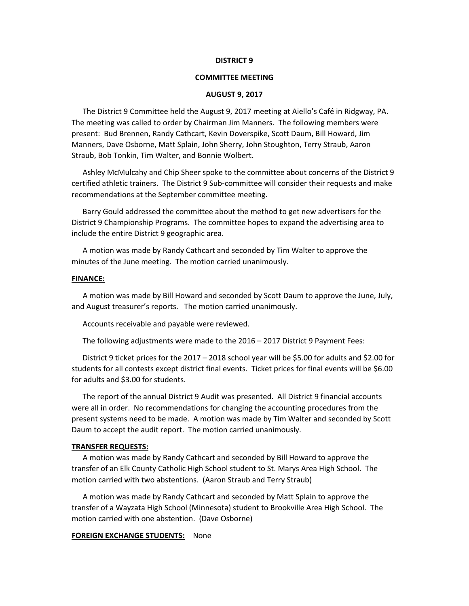#### **DISTRICT 9**

## **COMMITTEE MEETING**

#### **AUGUST 9, 2017**

The District 9 Committee held the August 9, 2017 meeting at Aiello's Café in Ridgway, PA. The meeting was called to order by Chairman Jim Manners. The following members were present: Bud Brennen, Randy Cathcart, Kevin Doverspike, Scott Daum, Bill Howard, Jim Manners, Dave Osborne, Matt Splain, John Sherry, John Stoughton, Terry Straub, Aaron Straub, Bob Tonkin, Tim Walter, and Bonnie Wolbert.

Ashley McMulcahy and Chip Sheer spoke to the committee about concerns of the District 9 certified athletic trainers. The District 9 Sub-committee will consider their requests and make recommendations at the September committee meeting.

Barry Gould addressed the committee about the method to get new advertisers for the District 9 Championship Programs. The committee hopes to expand the advertising area to include the entire District 9 geographic area.

A motion was made by Randy Cathcart and seconded by Tim Walter to approve the minutes of the June meeting. The motion carried unanimously.

#### **FINANCE:**

A motion was made by Bill Howard and seconded by Scott Daum to approve the June, July, and August treasurer's reports. The motion carried unanimously.

Accounts receivable and payable were reviewed.

The following adjustments were made to the 2016 – 2017 District 9 Payment Fees:

District 9 ticket prices for the 2017 – 2018 school year will be \$5.00 for adults and \$2.00 for students for all contests except district final events. Ticket prices for final events will be \$6.00 for adults and \$3.00 for students.

The report of the annual District 9 Audit was presented. All District 9 financial accounts were all in order. No recommendations for changing the accounting procedures from the present systems need to be made. A motion was made by Tim Walter and seconded by Scott Daum to accept the audit report. The motion carried unanimously.

## **TRANSFER REQUESTS:**

A motion was made by Randy Cathcart and seconded by Bill Howard to approve the transfer of an Elk County Catholic High School student to St. Marys Area High School. The motion carried with two abstentions. (Aaron Straub and Terry Straub)

A motion was made by Randy Cathcart and seconded by Matt Splain to approve the transfer of a Wayzata High School (Minnesota) student to Brookville Area High School. The motion carried with one abstention. (Dave Osborne)

## **FOREIGN EXCHANGE STUDENTS:** None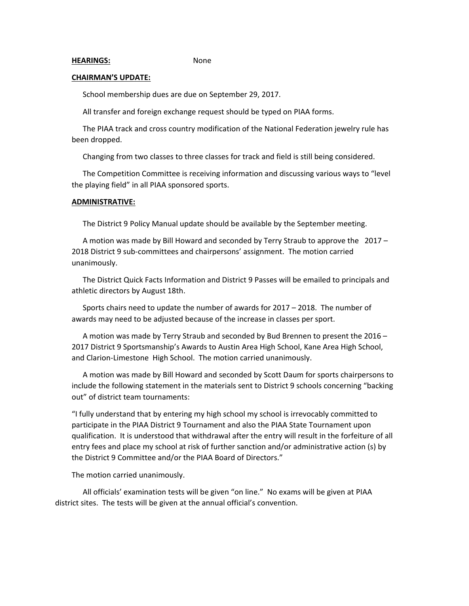#### **CHAIRMAN'S UPDATE:**

School membership dues are due on September 29, 2017.

All transfer and foreign exchange request should be typed on PIAA forms.

The PIAA track and cross country modification of the National Federation jewelry rule has been dropped.

Changing from two classes to three classes for track and field is still being considered.

The Competition Committee is receiving information and discussing various ways to "level the playing field" in all PIAA sponsored sports.

## **ADMINISTRATIVE:**

The District 9 Policy Manual update should be available by the September meeting.

A motion was made by Bill Howard and seconded by Terry Straub to approve the 2017 – 2018 District 9 sub-committees and chairpersons' assignment. The motion carried unanimously.

The District Quick Facts Information and District 9 Passes will be emailed to principals and athletic directors by August 18th.

Sports chairs need to update the number of awards for 2017 – 2018. The number of awards may need to be adjusted because of the increase in classes per sport.

A motion was made by Terry Straub and seconded by Bud Brennen to present the 2016 – 2017 District 9 Sportsmanship's Awards to Austin Area High School, Kane Area High School, and Clarion-Limestone High School. The motion carried unanimously.

A motion was made by Bill Howard and seconded by Scott Daum for sports chairpersons to include the following statement in the materials sent to District 9 schools concerning "backing out" of district team tournaments:

"I fully understand that by entering my high school my school is irrevocably committed to participate in the PIAA District 9 Tournament and also the PIAA State Tournament upon qualification. It is understood that withdrawal after the entry will result in the forfeiture of all entry fees and place my school at risk of further sanction and/or administrative action (s) by the District 9 Committee and/or the PIAA Board of Directors."

The motion carried unanimously.

All officials' examination tests will be given "on line." No exams will be given at PIAA district sites. The tests will be given at the annual official's convention.